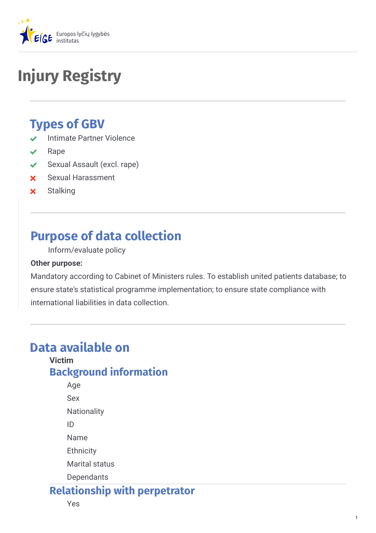

# **Injury Registry**

# **Types of GBV**

- Intimate Partner Violence
- Rape
- ◆ Sexual Assault (excl. rape)
- Sexual Harassment
- **x** Stalking

# **Purpose of data collection**

Inform/evaluate policy

#### **Other purpose:**

Mandatory according to Cabinet of Ministers rules. To establish united patients database; to ensure state's statistical programme implementation; to ensure state compliance with international liabilities in data collection.

# **Data available on**

#### **Victim Background information**

Age Sex **Nationality** ID Name **Ethnicity** Marital status **Dependants** 

### **Relationship with perpetrator**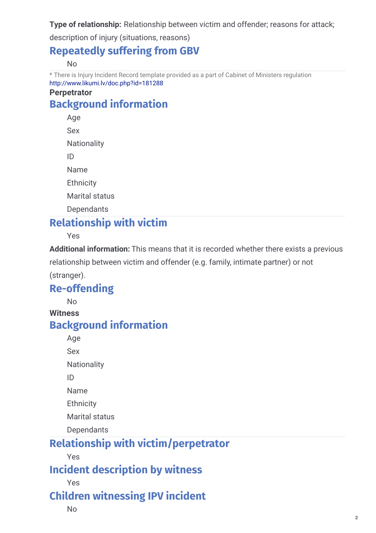**Type of relationship:** Relationship between victim and offender; reasons for attack;

description of injury (situations, reasons)

### **Repeatedly suffering from GBV**

No

\* There is Injury Incident Record template provided as a part of Cabinet of Ministers regulation <http://www.likumi.lv/doc.php?id=181288>

#### **Perpetrator**

### **Background information**

Age Sex **Nationality** ID Name **Ethnicity** Marital status **Dependants** 

### **Relationship with victim**

Yes

**Additional information:** This means that it is recorded whether there exists a previous relationship between victim and offender (e.g. family, intimate partner) or not

(stranger).

### **Re-offending**

No

**Witness**

### **Background information**

Age

Sex

**Nationality** 

ID

Name

**Ethnicity** 

Marital status

**Dependants** 

### **Relationship with victim/perpetrator**

```
Yes
```
### **Incident description by witness**

Yes

### **Children witnessing IPV incident**

No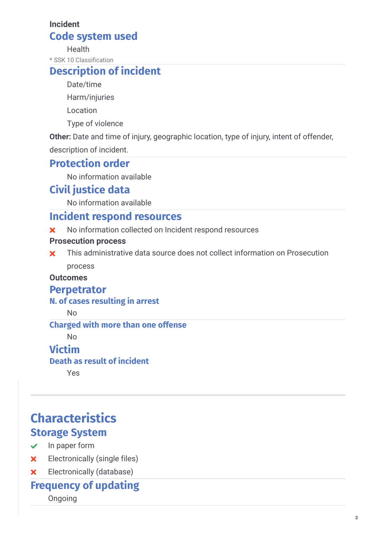### **Incident Code system used**

**Health** 

\* SSK 10 Classification

# **Description of incident**

Date/time

Harm/injuries

Location

Type of violence

**Other:** Date and time of injury, geographic location, type of injury, intent of offender,

description of incident.

### **Protection order**

No information available

### **Civil justice data**

No information available

#### **Incident respond resources**

**X** No information collected on Incident respond resources

#### **Prosecution process**

This administrative data source does not collect information on Prosecution process  $\mathbf x$ 

#### **Outcomes**

#### **Perpetrator**

**N. of cases resulting in arrest**

No

#### **Charged with more than one offense**

No

#### **Victim**

**Death as result of incident**

Yes

### **Characteristics Storage System**

- $\vee$  In paper form
- Electronically (single files)
- Electronically (database)

### **Frequency of updating**

Ongoing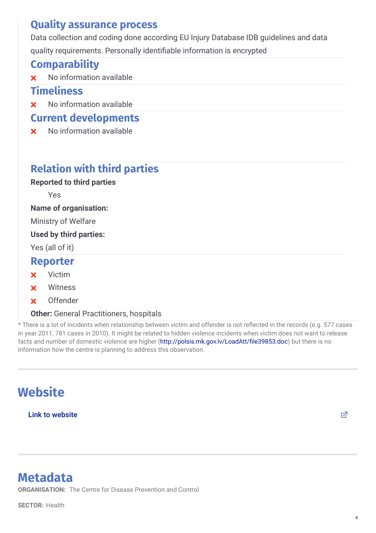### **Quality assurance process**

Data collection and coding done according EU Injury Database IDB guidelines and data

quality requirements. Personally identifiable information is encrypted

### **Comparability**

**x** No information available

### **Timeliness**

No information available

### **Current developments**

**x** No information available

### **Relation with third parties**

**Reported to third parties**

Yes

**Name of organisation:**

Ministry of Welfare

#### **Used by third parties:**

Yes (all of it)

#### **Reporter**

- $x$  Victim
- **x** Witness
- Offender

#### **Other:** General Practitioners, hospitals

\* There is a lot of incidents when relationship between victim and offender is not reflected in the records (e.g. 577 cases in year 2011, 781 cases in 2010). It might be related to hidden violence incidents when victim does not want to release facts and number of domestic violence are higher (http://polsis.mk.gov.lv/LoadAtt/file39853.doc) but there is no information how the centre is planning to address this observation.

# **Website**

#### Link to [website](http://sabves.spkc.gov.lv/Lists/DatuAvoti/DispForm.aspx?ID=342)  $\Box$

## **Metadata**

**ORGANISATION:** The Centre for Disease Prevention and Control